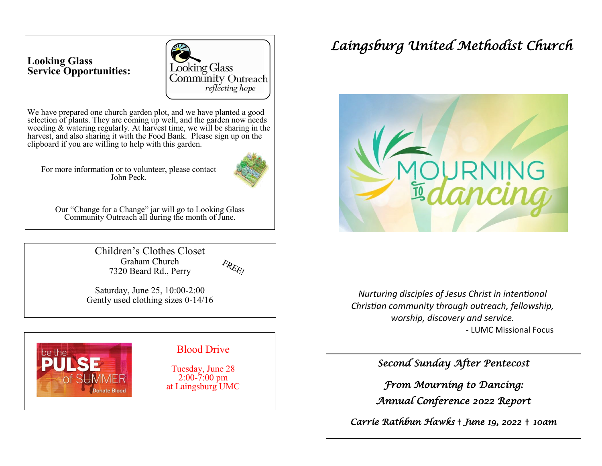# **Looking Glass Service Opportunities:**



We have prepared one church garden plot, and we have planted a good selection of plants. They are coming up well, and the garden now needs weeding & watering regularly. At harvest time, we will be sharing in the harvest, and also sharing it with the Food Bank. Please sign up on the clipboard if you are willing to help with this garden.

For more information or to volunteer, please contact John Peck.



Our "Change for a Change" jar will go to Looking Glass Community Outreach all during the month of June.

> Children's Clothes Closet Graham Church 7320 Beard Rd., Perry



Saturday, June 25, 10:00-2:00 Gently used clothing sizes 0-14/16



# *Laingsburg United Methodist Church*



*Nurturing disciples of Jesus Christ in intentional Christian community through outreach, fellowship, worship, discovery and service.* - LUMC Missional Focus

*Second Sunday After Pentecost* 

*From Mourning to Dancing: Annual Conference 2022 Report* 

*Carrie Rathbun Hawks* † *June 19, 2022* † *10am*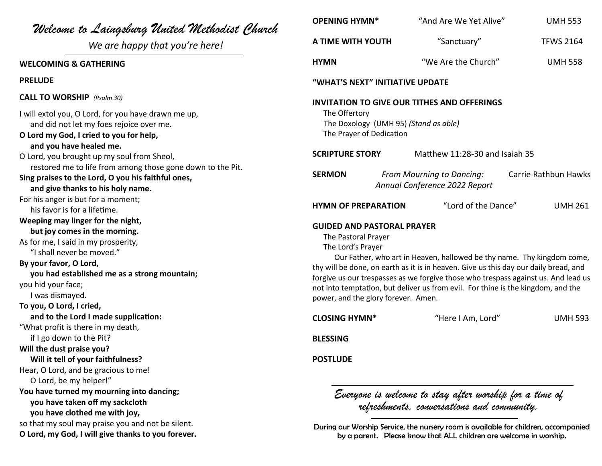| Welcome to Laingsburg United Methodist Church                                                                                                                                                                                                                                         | <b>OPENING HYMN*</b>                                                                                                                                                                                                                                                                                                                                                                                                                                             | "And Are We Yet Alive"                                                                                                                                    | <b>UMH 553</b>       |
|---------------------------------------------------------------------------------------------------------------------------------------------------------------------------------------------------------------------------------------------------------------------------------------|------------------------------------------------------------------------------------------------------------------------------------------------------------------------------------------------------------------------------------------------------------------------------------------------------------------------------------------------------------------------------------------------------------------------------------------------------------------|-----------------------------------------------------------------------------------------------------------------------------------------------------------|----------------------|
| We are happy that you're here!                                                                                                                                                                                                                                                        | A TIME WITH YOUTH                                                                                                                                                                                                                                                                                                                                                                                                                                                | "Sanctuary"                                                                                                                                               | <b>TFWS 2164</b>     |
| <b>WELCOMING &amp; GATHERING</b>                                                                                                                                                                                                                                                      | <b>HYMN</b>                                                                                                                                                                                                                                                                                                                                                                                                                                                      | "We Are the Church"                                                                                                                                       | <b>UMH 558</b>       |
| <b>PRELUDE</b>                                                                                                                                                                                                                                                                        | "WHAT'S NEXT" INITIATIVE UPDATE                                                                                                                                                                                                                                                                                                                                                                                                                                  |                                                                                                                                                           |                      |
| <b>CALL TO WORSHIP</b> (Psalm 30)                                                                                                                                                                                                                                                     | <b>INVITATION TO GIVE OUR TITHES AND OFFERINGS</b><br>The Offertory<br>The Doxology (UMH 95) (Stand as able)<br>The Prayer of Dedication                                                                                                                                                                                                                                                                                                                         |                                                                                                                                                           |                      |
| I will extol you, O Lord, for you have drawn me up,<br>and did not let my foes rejoice over me.<br>O Lord my God, I cried to you for help,<br>and you have healed me.                                                                                                                 |                                                                                                                                                                                                                                                                                                                                                                                                                                                                  |                                                                                                                                                           |                      |
| O Lord, you brought up my soul from Sheol,                                                                                                                                                                                                                                            | <b>SCRIPTURE STORY</b>                                                                                                                                                                                                                                                                                                                                                                                                                                           | Matthew 11:28-30 and Isaiah 35                                                                                                                            |                      |
| restored me to life from among those gone down to the Pit.<br>Sing praises to the Lord, O you his faithful ones,<br>and give thanks to his holy name.                                                                                                                                 | <b>SERMON</b>                                                                                                                                                                                                                                                                                                                                                                                                                                                    | From Mourning to Dancing:<br>Annual Conference 2022 Report                                                                                                | Carrie Rathbun Hawks |
| For his anger is but for a moment;<br>his favor is for a lifetime.                                                                                                                                                                                                                    | <b>HYMN OF PREPARATION</b>                                                                                                                                                                                                                                                                                                                                                                                                                                       | "Lord of the Dance"                                                                                                                                       | <b>UMH 261</b>       |
| Weeping may linger for the night,<br>but joy comes in the morning.<br>As for me, I said in my prosperity,<br>"I shall never be moved."<br>By your favor, O Lord,<br>you had established me as a strong mountain;<br>you hid your face;<br>I was dismayed.<br>To you, O Lord, I cried, | <b>GUIDED AND PASTORAL PRAYER</b><br>The Pastoral Prayer<br>The Lord's Prayer<br>Our Father, who art in Heaven, hallowed be thy name. Thy kingdom come,<br>thy will be done, on earth as it is in heaven. Give us this day our daily bread, and<br>forgive us our trespasses as we forgive those who trespass against us. And lead us<br>not into temptation, but deliver us from evil. For thine is the kingdom, and the<br>power, and the glory forever. Amen. |                                                                                                                                                           |                      |
| and to the Lord I made supplication:                                                                                                                                                                                                                                                  | <b>CLOSING HYMN*</b>                                                                                                                                                                                                                                                                                                                                                                                                                                             | "Here I Am, Lord"                                                                                                                                         | <b>UMH 593</b>       |
| "What profit is there in my death,<br>if I go down to the Pit?                                                                                                                                                                                                                        | <b>BLESSING</b>                                                                                                                                                                                                                                                                                                                                                                                                                                                  |                                                                                                                                                           |                      |
| Will the dust praise you?<br>Will it tell of your faithfulness?<br>Hear, O Lord, and be gracious to me!                                                                                                                                                                               | <b>POSTLUDE</b>                                                                                                                                                                                                                                                                                                                                                                                                                                                  |                                                                                                                                                           |                      |
| O Lord, be my helper!"<br>You have turned my mourning into dancing;<br>you have taken off my sackcloth<br>you have clothed me with joy,                                                                                                                                               | Everyone is welcome to stay after worship for a time of<br>refreshments, conversations and community.                                                                                                                                                                                                                                                                                                                                                            |                                                                                                                                                           |                      |
| so that my soul may praise you and not be silent.<br>O Lord, my God, I will give thanks to you forever.                                                                                                                                                                               |                                                                                                                                                                                                                                                                                                                                                                                                                                                                  | During our Worship Service, the nursery room is available for children, accompanied<br>by a parent. Please know that ALL children are welcome in worship. |                      |